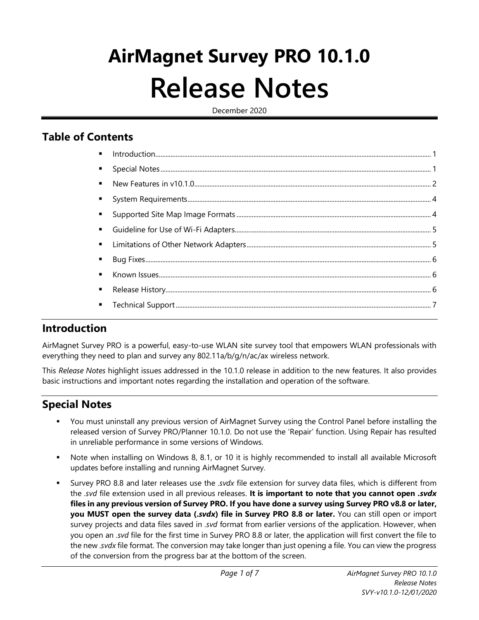# **AirMagnet Survey PRO 10.1.0 Release Notes**

December 2020

## **Table of Contents**

| $\blacksquare$ |  |
|----------------|--|
|                |  |
| ٠              |  |
| $\blacksquare$ |  |
|                |  |
|                |  |
|                |  |
|                |  |
|                |  |
|                |  |

## <span id="page-0-0"></span>**Introduction**

AirMagnet Survey PRO is a powerful, easy-to-use WLAN site survey tool that empowers WLAN professionals with everything they need to plan and survey any 802.11a/b/g/n/ac/ax wireless network.

This *Release Notes* highlight issues addressed in the 10.1.0 release in addition to the new features. It also provides basic instructions and important notes regarding the installation and operation of the software.

## <span id="page-0-1"></span>**Special Notes**

- You must uninstall any previous version of AirMagnet Survey using the Control Panel before installing the released version of Survey PRO/Planner 10.1.0. Do not use the 'Repair' function. Using Repair has resulted in unreliable performance in some versions of Windows.
- Note when installing on Windows 8, 8.1, or 10 it is highly recommended to install all available Microsoft updates before installing and running AirMagnet Survey.
- Survey PRO 8.8 and later releases use the *.svdx* file extension for survey data files, which is different from the *.svd* file extension used in all previous releases. **It is important to note that you cannot open** *.svdx* **files in any previous version of Survey PRO. If you have done a survey using Survey PRO v8.8 or later, you MUST open the survey data (.***svdx***) file in Survey PRO 8.8 or later.** You can still open or import survey projects and data files saved in *.svd* format from earlier versions of the application. However, when you open an *.svd* file for the first time in Survey PRO 8.8 or later, the application will first convert the file to the new *.svdx* file format. The conversion may take longer than just opening a file. You can view the progress of the conversion from the progress bar at the bottom of the screen.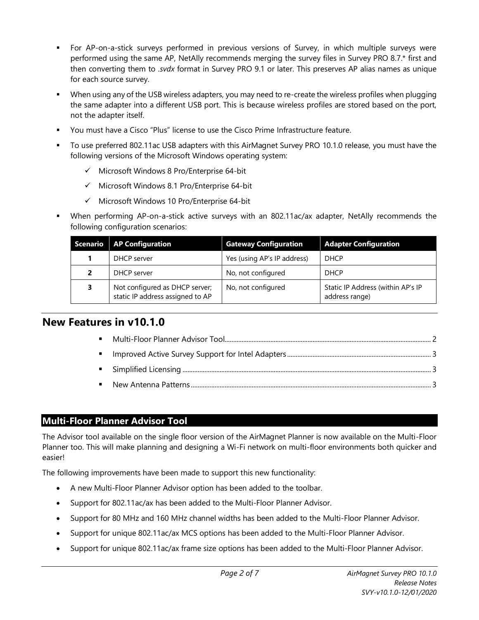- For AP-on-a-stick surveys performed in previous versions of Survey, in which multiple surveys were performed using the same AP, NetAlly recommends merging the survey files in Survey PRO 8.7.\* first and then converting them to *.svdx* format in Survey PRO 9.1 or later. This preserves AP alias names as unique for each source survey.
- When using any of the USB wireless adapters, you may need to re-create the wireless profiles when plugging the same adapter into a different USB port. This is because wireless profiles are stored based on the port, not the adapter itself.
- You must have a Cisco "Plus" license to use the Cisco Prime Infrastructure feature.
- To use preferred 802.11ac USB adapters with this AirMagnet Survey PRO 10.1.0 release, you must have the following versions of the Microsoft Windows operating system:
	- ✓ Microsoft Windows 8 Pro/Enterprise 64-bit
	- ✓ Microsoft Windows 8.1 Pro/Enterprise 64-bit
	- ✓ Microsoft Windows 10 Pro/Enterprise 64-bit
- When performing AP-on-a-stick active surveys with an 802.11ac/ax adapter, NetAlly recommends the following configuration scenarios:

| Scenario   AP Configuration                                        | <b>Gateway Configuration</b> | <b>Adapter Configuration</b>                        |
|--------------------------------------------------------------------|------------------------------|-----------------------------------------------------|
| DHCP server                                                        | Yes (using AP's IP address)  | <b>DHCP</b>                                         |
| DHCP server                                                        | No, not configured           | <b>DHCP</b>                                         |
| Not configured as DHCP server;<br>static IP address assigned to AP | No, not configured           | Static IP Address (within AP's IP<br>address range) |

## <span id="page-1-0"></span>**New Features in v10.1.0**

#### <span id="page-1-1"></span>**Multi-Floor Planner Advisor Tool**

The Advisor tool available on the single floor version of the AirMagnet Planner is now available on the Multi-Floor Planner too. This will make planning and designing a Wi-Fi network on multi-floor environments both quicker and easier!

The following improvements have been made to support this new functionality:

- A new Multi-Floor Planner Advisor option has been added to the toolbar.
- Support for 802.11ac/ax has been added to the Multi-Floor Planner Advisor.
- Support for 80 MHz and 160 MHz channel widths has been added to the Multi-Floor Planner Advisor.
- Support for unique 802.11ac/ax MCS options has been added to the Multi-Floor Planner Advisor.
- Support for unique 802.11ac/ax frame size options has been added to the Multi-Floor Planner Advisor.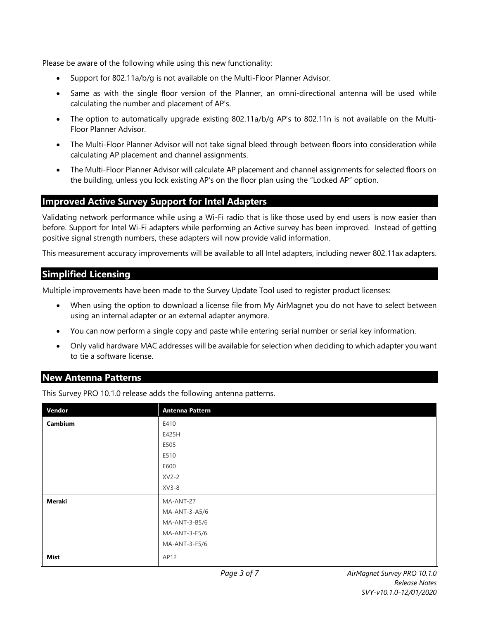Please be aware of the following while using this new functionality:

- Support for 802.11a/b/g is not available on the Multi-Floor Planner Advisor.
- Same as with the single floor version of the Planner, an omni-directional antenna will be used while calculating the number and placement of AP's.
- The option to automatically upgrade existing 802.11a/b/g AP's to 802.11n is not available on the Multi-Floor Planner Advisor.
- The Multi-Floor Planner Advisor will not take signal bleed through between floors into consideration while calculating AP placement and channel assignments.
- The Multi-Floor Planner Advisor will calculate AP placement and channel assignments for selected floors on the building, unless you lock existing AP's on the floor plan using the "Locked AP" option.

#### <span id="page-2-0"></span>**Improved Active Survey Support for Intel Adapters**

Validating network performance while using a Wi-Fi radio that is like those used by end users is now easier than before. Support for Intel Wi-Fi adapters while performing an Active survey has been improved. Instead of getting positive signal strength numbers, these adapters will now provide valid information.

This measurement accuracy improvements will be available to all Intel adapters, including newer 802.11ax adapters.

#### <span id="page-2-1"></span>**Simplified Licensing**

Multiple improvements have been made to the Survey Update Tool used to register product licenses:

- When using the option to download a license file from My AirMagnet you do not have to select between using an internal adapter or an external adapter anymore.
- You can now perform a single copy and paste while entering serial number or serial key information.
- Only valid hardware MAC addresses will be available for selection when deciding to which adapter you want to tie a software license.

#### <span id="page-2-2"></span>**New Antenna Patterns**

This Survey PRO 10.1.0 release adds the following antenna patterns.

| Vendor      | <b>Antenna Pattern</b> |
|-------------|------------------------|
| Cambium     | E410                   |
|             | E425H                  |
|             | E505                   |
|             | E510                   |
|             | E600                   |
|             | $XV2-2$                |
|             | $XV3-8$                |
| Meraki      | MA-ANT-27              |
|             | MA-ANT-3-A5/6          |
|             | MA-ANT-3-B5/6          |
|             | MA-ANT-3-E5/6          |
|             | MA-ANT-3-F5/6          |
| <b>Mist</b> | AP12                   |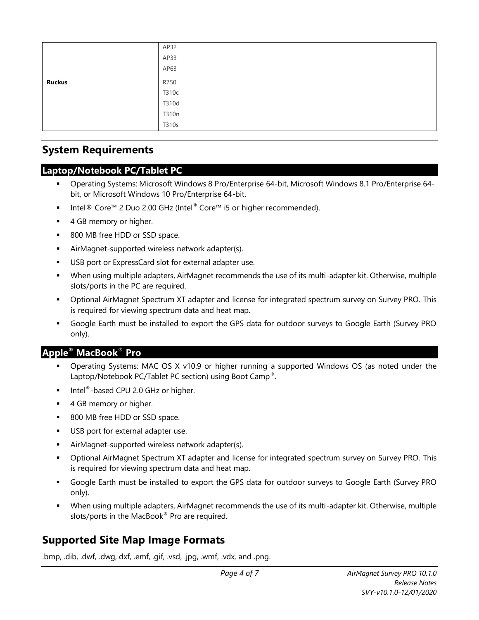|               | AP32  |
|---------------|-------|
|               | AP33  |
|               | AP63  |
| <b>Ruckus</b> | R750  |
|               | T310c |
|               | T310d |
|               | T310n |
|               | T310s |

### <span id="page-3-0"></span>**System Requirements**

#### **Laptop/Notebook PC/Tablet PC**

- Operating Systems: Microsoft Windows 8 Pro/Enterprise 64-bit, Microsoft Windows 8.1 Pro/Enterprise 64bit, or Microsoft Windows 10 Pro/Enterprise 64-bit.
- Intel<sup>®</sup> Core™ 2 Duo 2.00 GHz (Intel® Core™ i5 or higher recommended).
- 4 GB memory or higher.
- 800 MB free HDD or SSD space.
- AirMagnet-supported wireless network adapter(s).
- USB port or ExpressCard slot for external adapter use.
- When using multiple adapters, AirMagnet recommends the use of its multi-adapter kit. Otherwise, multiple slots/ports in the PC are required.
- Optional AirMagnet Spectrum XT adapter and license for integrated spectrum survey on Survey PRO. This is required for viewing spectrum data and heat map.
- Google Earth must be installed to export the GPS data for outdoor surveys to Google Earth (Survey PRO only).

#### **Apple**® **MacBook**® **Pro**

- Operating Systems: MAC OS X v10.9 or higher running a supported Windows OS (as noted under the Laptop/Notebook PC/Tablet PC section) using Boot Camp®.
- Intel $^{\circ}$ -based CPU 2.0 GHz or higher.
- 4 GB memory or higher.
- 800 MB free HDD or SSD space.
- USB port for external adapter use.
- AirMagnet-supported wireless network adapter(s).
- Optional AirMagnet Spectrum XT adapter and license for integrated spectrum survey on Survey PRO. This is required for viewing spectrum data and heat map.
- Google Earth must be installed to export the GPS data for outdoor surveys to Google Earth (Survey PRO only).
- When using multiple adapters, AirMagnet recommends the use of its multi-adapter kit. Otherwise, multiple slots/ports in the MacBook<sup>®</sup> Pro are required.

# <span id="page-3-1"></span>**Supported Site Map Image Formats**

.bmp, .dib, .dwf, .dwg, dxf, .emf, .gif, .vsd, .jpg, .wmf, .vdx, and .png.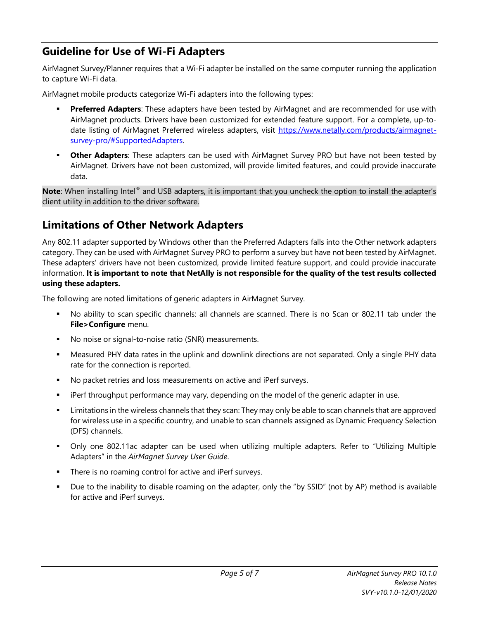# <span id="page-4-0"></span>**Guideline for Use of Wi-Fi Adapters**

AirMagnet Survey/Planner requires that a Wi-Fi adapter be installed on the same computer running the application to capture Wi-Fi data.

AirMagnet mobile products categorize Wi-Fi adapters into the following types:

- **Preferred Adapters**: These adapters have been tested by AirMagnet and are recommended for use with AirMagnet products. Drivers have been customized for extended feature support. For a complete, up-todate listing of AirMagnet Preferred wireless adapters, visit [https://www.netally.com/products/airmagnet](https://www.netally.com/products/airmagnet-survey-pro/#SupportedAdapters)[survey-pro/#SupportedAdapters.](https://www.netally.com/products/airmagnet-survey-pro/#SupportedAdapters)
- **Other Adapters**: These adapters can be used with AirMagnet Survey PRO but have not been tested by AirMagnet. Drivers have not been customized, will provide limited features, and could provide inaccurate data.

**Note**: When installing Intel® and USB adapters, it is important that you uncheck the option to install the adapter's client utility in addition to the driver software.

# <span id="page-4-1"></span>**Limitations of Other Network Adapters**

Any 802.11 adapter supported by Windows other than the Preferred Adapters falls into the Other network adapters category. They can be used with AirMagnet Survey PRO to perform a survey but have not been tested by AirMagnet. These adapters' drivers have not been customized, provide limited feature support, and could provide inaccurate information. **It is important to note that NetAlly is not responsible for the quality of the test results collected using these adapters.**

The following are noted limitations of generic adapters in AirMagnet Survey.

- No ability to scan specific channels: all channels are scanned. There is no Scan or 802.11 tab under the **File>Configure** menu.
- No noise or signal-to-noise ratio (SNR) measurements.
- **■** Measured PHY data rates in the uplink and downlink directions are not separated. Only a single PHY data rate for the connection is reported.
- No packet retries and loss measurements on active and iPerf surveys.
- iPerf throughput performance may vary, depending on the model of the generic adapter in use.
- Limitations in the wireless channels that they scan: They may only be able to scan channels that are approved for wireless use in a specific country, and unable to scan channels assigned as Dynamic Frequency Selection (DFS) channels.
- Only one 802.11ac adapter can be used when utilizing multiple adapters. Refer to "Utilizing Multiple Adapters" in the *AirMagnet Survey User Guide*.
- There is no roaming control for active and iPerf surveys.
- Due to the inability to disable roaming on the adapter, only the "by SSID" (not by AP) method is available for active and iPerf surveys.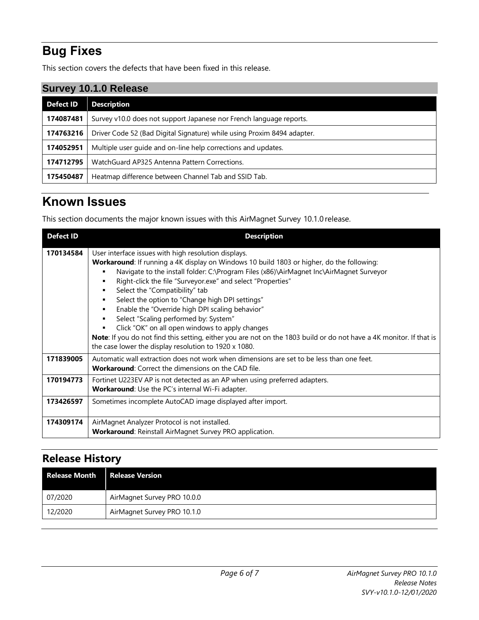# <span id="page-5-0"></span>**Bug Fixes**

This section covers the defects that have been fixed in this release.

| Survey 10.1.0 Release |                                                                         |  |
|-----------------------|-------------------------------------------------------------------------|--|
| <b>Defect ID</b>      | <b>Description</b>                                                      |  |
| 174087481             | Survey v10.0 does not support Japanese nor French language reports.     |  |
| 174763216             | Driver Code 52 (Bad Digital Signature) while using Proxim 8494 adapter. |  |
| 174052951             | Multiple user quide and on-line help corrections and updates.           |  |
| 174712795             | WatchGuard AP325 Antenna Pattern Corrections.                           |  |
| 175450487             | Heatmap difference between Channel Tab and SSID Tab.                    |  |

# <span id="page-5-1"></span>**Known Issues**

This section documents the major known issues with this AirMagnet Survey 10.1.0 release.

| <b>Defect ID</b> | <b>Description</b>                                                                                                                                                                                                                                                                                                                                                                                                                                                                                                                                                                                                                                                                                                                                  |
|------------------|-----------------------------------------------------------------------------------------------------------------------------------------------------------------------------------------------------------------------------------------------------------------------------------------------------------------------------------------------------------------------------------------------------------------------------------------------------------------------------------------------------------------------------------------------------------------------------------------------------------------------------------------------------------------------------------------------------------------------------------------------------|
| 170134584        | User interface issues with high resolution displays.<br>Workaround: If running a 4K display on Windows 10 build 1803 or higher, do the following:<br>Navigate to the install folder: C:\Program Files (x86)\AirMagnet Inc\AirMagnet Surveyor<br>Right-click the file "Surveyor.exe" and select "Properties"<br>٠<br>Select the "Compatibility" tab<br>٠<br>Select the option to "Change high DPI settings"<br>٠<br>Enable the "Override high DPI scaling behavior"<br>٠<br>Select "Scaling performed by: System"<br>Click "OK" on all open windows to apply changes<br>Note: If you do not find this setting, either you are not on the 1803 build or do not have a 4K monitor. If that is<br>the case lower the display resolution to 1920 x 1080. |
| 171839005        | Automatic wall extraction does not work when dimensions are set to be less than one feet.<br><b>Workaround:</b> Correct the dimensions on the CAD file.                                                                                                                                                                                                                                                                                                                                                                                                                                                                                                                                                                                             |
| 170194773        | Fortinet U223EV AP is not detected as an AP when using preferred adapters.<br><b>Workaround:</b> Use the PC's internal Wi-Fi adapter.                                                                                                                                                                                                                                                                                                                                                                                                                                                                                                                                                                                                               |
| 173426597        | Sometimes incomplete AutoCAD image displayed after import.                                                                                                                                                                                                                                                                                                                                                                                                                                                                                                                                                                                                                                                                                          |
| 174309174        | AirMagnet Analyzer Protocol is not installed.<br>Workaround: Reinstall AirMagnet Survey PRO application.                                                                                                                                                                                                                                                                                                                                                                                                                                                                                                                                                                                                                                            |

# <span id="page-5-2"></span>**Release History**

<span id="page-5-3"></span>

| <b>Release Month</b> | <b>Release Version</b>      |
|----------------------|-----------------------------|
| 07/2020              | AirMagnet Survey PRO 10.0.0 |
| 12/2020              | AirMagnet Survey PRO 10.1.0 |